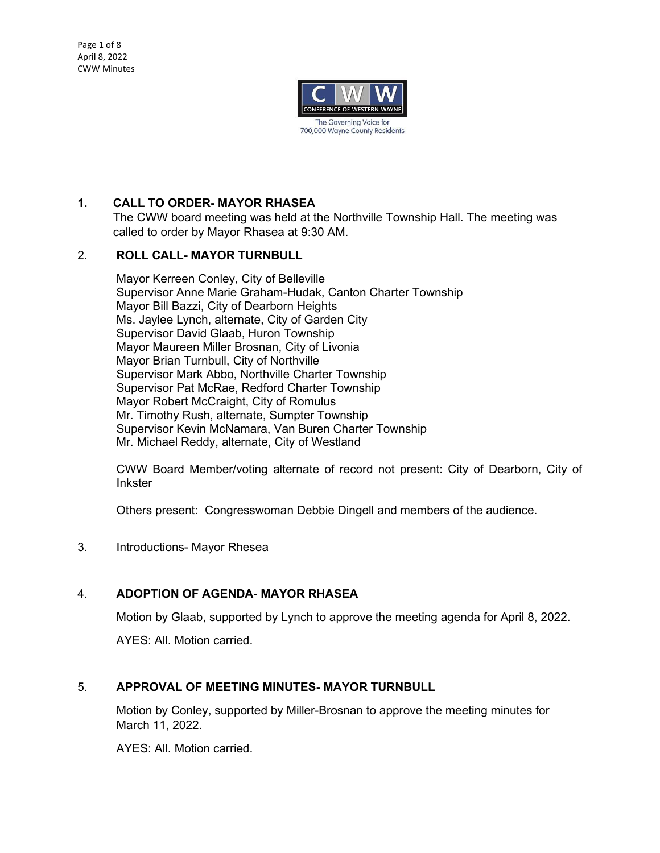

# **1. CALL TO ORDER- MAYOR RHASEA**

The CWW board meeting was held at the Northville Township Hall. The meeting was called to order by Mayor Rhasea at 9:30 AM.

### 2. **ROLL CALL- MAYOR TURNBULL**

Mayor Kerreen Conley, City of Belleville Supervisor Anne Marie Graham-Hudak, Canton Charter Township Mayor Bill Bazzi, City of Dearborn Heights Ms. Jaylee Lynch, alternate, City of Garden City Supervisor David Glaab, Huron Township Mayor Maureen Miller Brosnan, City of Livonia Mayor Brian Turnbull, City of Northville Supervisor Mark Abbo, Northville Charter Township Supervisor Pat McRae, Redford Charter Township Mayor Robert McCraight, City of Romulus Mr. Timothy Rush, alternate, Sumpter Township Supervisor Kevin McNamara, Van Buren Charter Township Mr. Michael Reddy, alternate, City of Westland

CWW Board Member/voting alternate of record not present: City of Dearborn, City of **Inkster** 

Others present: Congresswoman Debbie Dingell and members of the audience.

3. Introductions- Mayor Rhesea

### 4. **ADOPTION OF AGENDA**- **MAYOR RHASEA**

Motion by Glaab, supported by Lynch to approve the meeting agenda for April 8, 2022. AYES: All. Motion carried.

### 5. **APPROVAL OF MEETING MINUTES- MAYOR TURNBULL**

Motion by Conley, supported by Miller-Brosnan to approve the meeting minutes for March 11, 2022.

AYES: All. Motion carried.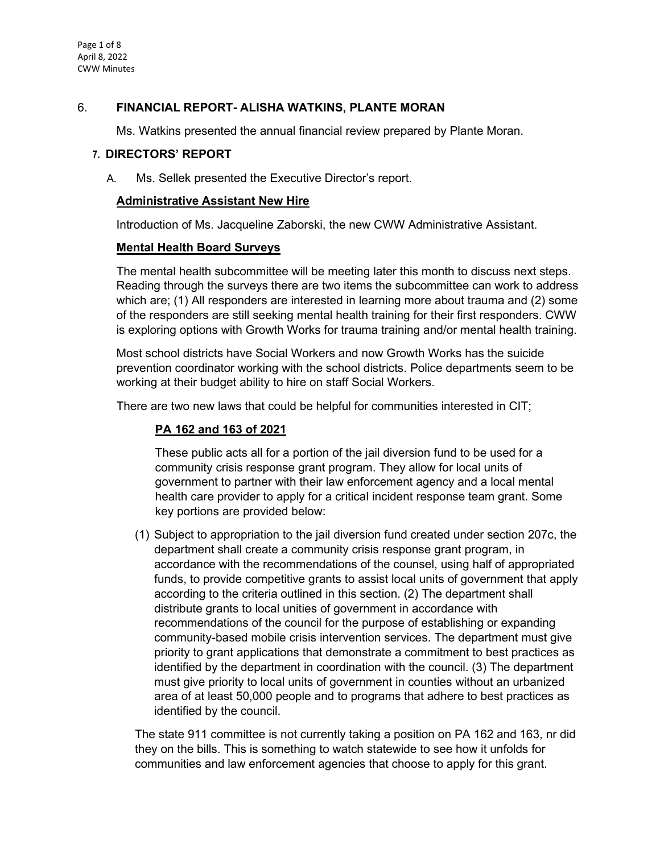Page 1 of 8 April 8, 2022 CWW Minutes

### 6. **FINANCIAL REPORT- ALISHA WATKINS, PLANTE MORAN**

Ms. Watkins presented the annual financial review prepared by Plante Moran.

#### **7. DIRECTORS' REPORT**

A. Ms. Sellek presented the Executive Director's report.

#### **Administrative Assistant New Hire**

Introduction of Ms. Jacqueline Zaborski, the new CWW Administrative Assistant.

#### **Mental Health Board Surveys**

The mental health subcommittee will be meeting later this month to discuss next steps. Reading through the surveys there are two items the subcommittee can work to address which are; (1) All responders are interested in learning more about trauma and (2) some of the responders are still seeking mental health training for their first responders. CWW is exploring options with Growth Works for trauma training and/or mental health training.

Most school districts have Social Workers and now Growth Works has the suicide prevention coordinator working with the school districts. Police departments seem to be working at their budget ability to hire on staff Social Workers.

There are two new laws that could be helpful for communities interested in CIT;

## **PA 162 and 163 of 2021**

These public acts all for a portion of the jail diversion fund to be used for a community crisis response grant program. They allow for local units of government to partner with their law enforcement agency and a local mental health care provider to apply for a critical incident response team grant. Some key portions are provided below:

(1) Subject to appropriation to the jail diversion fund created under section 207c, the department shall create a community crisis response grant program, in accordance with the recommendations of the counsel, using half of appropriated funds, to provide competitive grants to assist local units of government that apply according to the criteria outlined in this section. (2) The department shall distribute grants to local unities of government in accordance with recommendations of the council for the purpose of establishing or expanding community-based mobile crisis intervention services. The department must give priority to grant applications that demonstrate a commitment to best practices as identified by the department in coordination with the council. (3) The department must give priority to local units of government in counties without an urbanized area of at least 50,000 people and to programs that adhere to best practices as identified by the council.

The state 911 committee is not currently taking a position on PA 162 and 163, nr did they on the bills. This is something to watch statewide to see how it unfolds for communities and law enforcement agencies that choose to apply for this grant.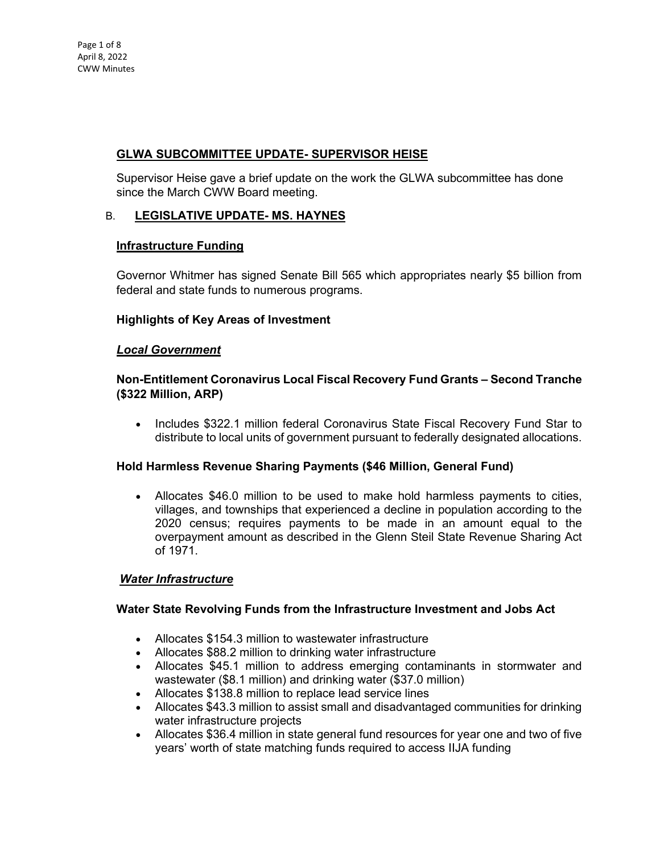# **GLWA SUBCOMMITTEE UPDATE- SUPERVISOR HEISE**

Supervisor Heise gave a brief update on the work the GLWA subcommittee has done since the March CWW Board meeting.

# B. **LEGISLATIVE UPDATE- MS. HAYNES**

### **Infrastructure Funding**

Governor Whitmer has signed Senate Bill 565 which appropriates nearly \$5 billion from federal and state funds to numerous programs.

### **Highlights of Key Areas of Investment**

#### *Local Government*

## **Non-Entitlement Coronavirus Local Fiscal Recovery Fund Grants – Second Tranche (\$322 Million, ARP)**

• Includes \$322.1 million federal Coronavirus State Fiscal Recovery Fund Star to distribute to local units of government pursuant to federally designated allocations.

### **Hold Harmless Revenue Sharing Payments (\$46 Million, General Fund)**

• Allocates \$46.0 million to be used to make hold harmless payments to cities, villages, and townships that experienced a decline in population according to the 2020 census; requires payments to be made in an amount equal to the overpayment amount as described in the Glenn Steil State Revenue Sharing Act of 1971.

### *Water Infrastructure*

### **Water State Revolving Funds from the Infrastructure Investment and Jobs Act**

- Allocates \$154.3 million to wastewater infrastructure
- Allocates \$88.2 million to drinking water infrastructure
- Allocates \$45.1 million to address emerging contaminants in stormwater and wastewater (\$8.1 million) and drinking water (\$37.0 million)
- Allocates \$138.8 million to replace lead service lines
- Allocates \$43.3 million to assist small and disadvantaged communities for drinking water infrastructure projects
- Allocates \$36.4 million in state general fund resources for year one and two of five years' worth of state matching funds required to access IIJA funding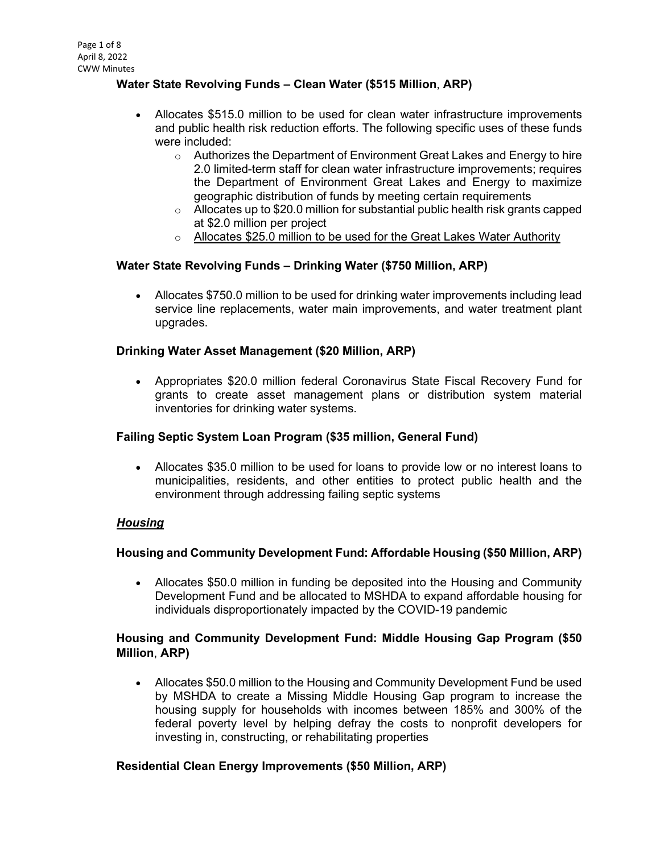## **Water State Revolving Funds – Clean Water (\$515 Million**, **ARP)**

- Allocates \$515.0 million to be used for clean water infrastructure improvements and public health risk reduction efforts. The following specific uses of these funds were included:
	- $\circ$  Authorizes the Department of Environment Great Lakes and Energy to hire 2.0 limited-term staff for clean water infrastructure improvements; requires the Department of Environment Great Lakes and Energy to maximize geographic distribution of funds by meeting certain requirements
	- $\circ$  Allocates up to \$20.0 million for substantial public health risk grants capped at \$2.0 million per project
	- o Allocates \$25.0 million to be used for the Great Lakes Water Authority

### **Water State Revolving Funds – Drinking Water (\$750 Million, ARP)**

• Allocates \$750.0 million to be used for drinking water improvements including lead service line replacements, water main improvements, and water treatment plant upgrades.

#### **Drinking Water Asset Management (\$20 Million, ARP)**

• Appropriates \$20.0 million federal Coronavirus State Fiscal Recovery Fund for grants to create asset management plans or distribution system material inventories for drinking water systems.

### **Failing Septic System Loan Program (\$35 million, General Fund)**

• Allocates \$35.0 million to be used for loans to provide low or no interest loans to municipalities, residents, and other entities to protect public health and the environment through addressing failing septic systems

### *Housing*

### **Housing and Community Development Fund: Affordable Housing (\$50 Million, ARP)**

• Allocates \$50.0 million in funding be deposited into the Housing and Community Development Fund and be allocated to MSHDA to expand affordable housing for individuals disproportionately impacted by the COVID-19 pandemic

### **Housing and Community Development Fund: Middle Housing Gap Program (\$50 Million**, **ARP)**

• Allocates \$50.0 million to the Housing and Community Development Fund be used by MSHDA to create a Missing Middle Housing Gap program to increase the housing supply for households with incomes between 185% and 300% of the federal poverty level by helping defray the costs to nonprofit developers for investing in, constructing, or rehabilitating properties

#### **Residential Clean Energy Improvements (\$50 Million, ARP)**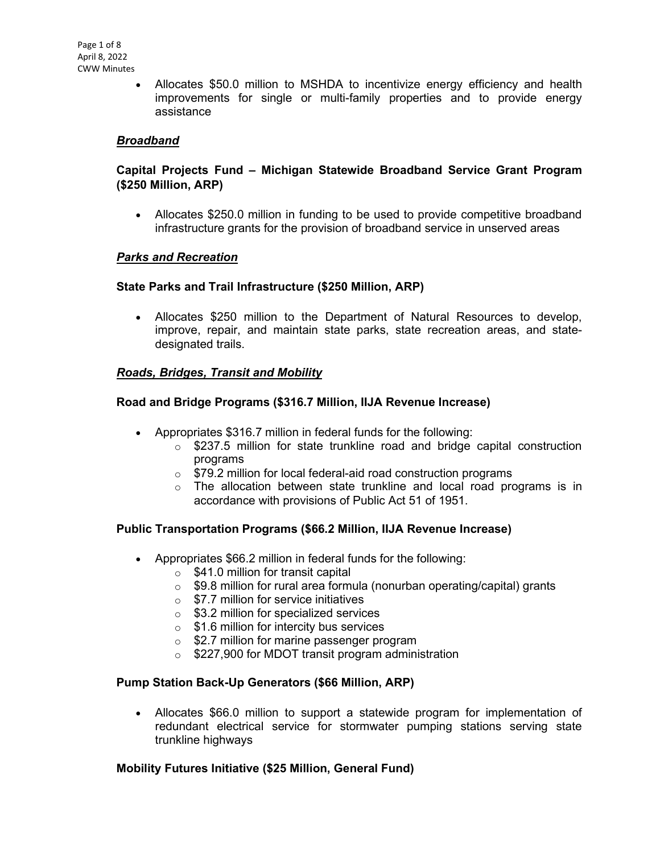• Allocates \$50.0 million to MSHDA to incentivize energy efficiency and health improvements for single or multi-family properties and to provide energy assistance

### *Broadband*

### **Capital Projects Fund – Michigan Statewide Broadband Service Grant Program (\$250 Million, ARP)**

• Allocates \$250.0 million in funding to be used to provide competitive broadband infrastructure grants for the provision of broadband service in unserved areas

#### *Parks and Recreation*

#### **State Parks and Trail Infrastructure (\$250 Million, ARP)**

• Allocates \$250 million to the Department of Natural Resources to develop, improve, repair, and maintain state parks, state recreation areas, and statedesignated trails.

### *Roads, Bridges, Transit and Mobility*

#### **Road and Bridge Programs (\$316.7 Million, IIJA Revenue Increase)**

- Appropriates \$316.7 million in federal funds for the following:
	- $\circ$  \$237.5 million for state trunkline road and bridge capital construction programs
	- o \$79.2 million for local federal-aid road construction programs
	- $\circ$  The allocation between state trunkline and local road programs is in accordance with provisions of Public Act 51 of 1951.

### **Public Transportation Programs (\$66.2 Million, IIJA Revenue Increase)**

- Appropriates \$66.2 million in federal funds for the following:
	- $\circ$  \$41.0 million for transit capital
	- o \$9.8 million for rural area formula (nonurban operating/capital) grants
	- $\circ$  \$7.7 million for service initiatives
	- $\circ$  \$3.2 million for specialized services
	- $\circ$  \$1.6 million for intercity bus services
	- **S2.7 million for marine passenger program**
	- o \$227,900 for MDOT transit program administration

#### **Pump Station Back-Up Generators (\$66 Million, ARP)**

• Allocates \$66.0 million to support a statewide program for implementation of redundant electrical service for stormwater pumping stations serving state trunkline highways

### **Mobility Futures Initiative (\$25 Million, General Fund)**